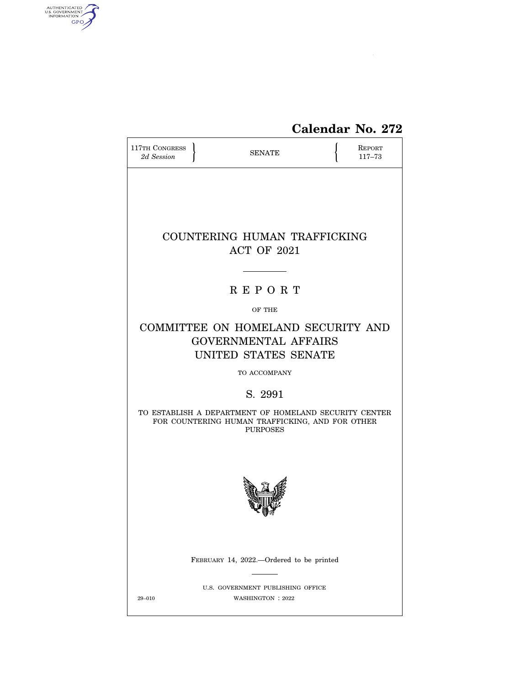

# **Calendar No. 272**

| 117TH CONGRESS<br><b>SENATE</b><br>2d Session                                                                               |              |                                                        |  | REPORT<br>$117 - 73$ |  |  |  |
|-----------------------------------------------------------------------------------------------------------------------------|--------------|--------------------------------------------------------|--|----------------------|--|--|--|
|                                                                                                                             |              |                                                        |  |                      |  |  |  |
| COUNTERING HUMAN TRAFFICKING<br>ACT OF 2021                                                                                 |              |                                                        |  |                      |  |  |  |
|                                                                                                                             |              | <b>REPORT</b>                                          |  |                      |  |  |  |
|                                                                                                                             |              | OF THE                                                 |  |                      |  |  |  |
| COMMITTEE ON HOMELAND SECURITY AND<br><b>GOVERNMENTAL AFFAIRS</b><br>UNITED STATES SENATE                                   |              |                                                        |  |                      |  |  |  |
|                                                                                                                             | TO ACCOMPANY |                                                        |  |                      |  |  |  |
|                                                                                                                             |              | S. 2991                                                |  |                      |  |  |  |
| TO ESTABLISH A DEPARTMENT OF HOMELAND SECURITY CENTER<br>FOR COUNTERING HUMAN TRAFFICKING, AND FOR OTHER<br><b>PURPOSES</b> |              |                                                        |  |                      |  |  |  |
|                                                                                                                             |              |                                                        |  |                      |  |  |  |
|                                                                                                                             |              | FEBRUARY 14, 2022.—Ordered to be printed               |  |                      |  |  |  |
| 29-010                                                                                                                      |              | U.S. GOVERNMENT PUBLISHING OFFICE<br>WASHINGTON : 2022 |  |                      |  |  |  |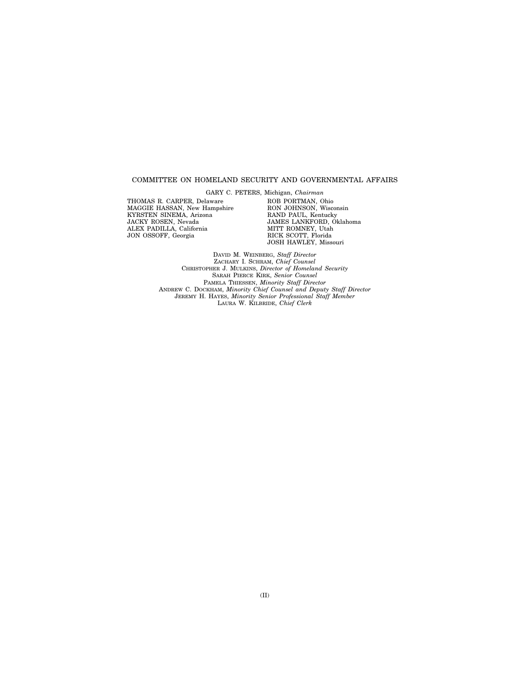#### COMMITTEE ON HOMELAND SECURITY AND GOVERNMENTAL AFFAIRS

THOMAS R. CARPER, Delaware MAGGIE HASSAN, New Hampshire KYRSTEN SINEMA, Arizona JACKY ROSEN, Nevada ALEX PADILLA, California JON OSSOFF, Georgia

GARY C. PETERS, Michigan, *Chairman*  ROB PORTMAN, Ohio RON JOHNSON, Wisconsin RAND PAUL, Kentucky JAMES LANKFORD, Oklahoma MITT ROMNEY, Utah RICK SCOTT, Florida JOSH HAWLEY, Missouri

DAVID M. WEINBERG, *Staff Director*  ZACHARY I. SCHRAM, *Chief Counsel*  CHRISTOPHER J. MULKINS, *Director of Homeland Security*  SARAH PIERCE KIRK, *Senior Counsel*  PAMELA THIESSEN, *Minority Staff Director*  ANDREW C. DOCKHAM, *Minority Chief Counsel and Deputy Staff Director*  JEREMY H. HAYES, *Minority Senior Professional Staff Member*  LAURA W. KILBRIDE, *Chief Clerk*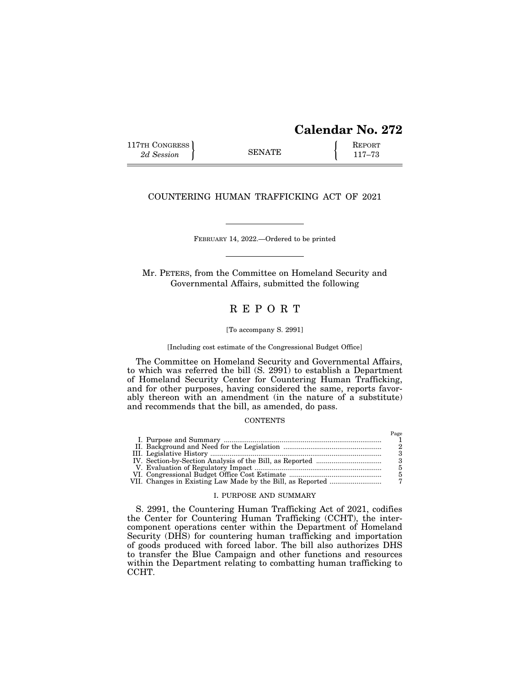| Calendar No. 272 |  |
|------------------|--|
|------------------|--|

 $D_{\alpha\alpha\alpha}$ 

117TH CONGRESS **REPORT** 2d Session **117–73** 

### COUNTERING HUMAN TRAFFICKING ACT OF 2021

FEBRUARY 14, 2022.—Ordered to be printed

Mr. PETERS, from the Committee on Homeland Security and Governmental Affairs, submitted the following

# R E P O R T

#### [To accompany S. 2991]

[Including cost estimate of the Congressional Budget Office]

The Committee on Homeland Security and Governmental Affairs, to which was referred the bill (S. 2991) to establish a Department of Homeland Security Center for Countering Human Trafficking, and for other purposes, having considered the same, reports favorably thereon with an amendment (in the nature of a substitute) and recommends that the bill, as amended, do pass.

#### **CONTENTS**

|  | 1 agu |
|--|-------|
|  |       |
|  |       |
|  |       |
|  |       |
|  |       |
|  |       |
|  |       |

#### I. PURPOSE AND SUMMARY

S. 2991, the Countering Human Trafficking Act of 2021, codifies the Center for Countering Human Trafficking (CCHT), the intercomponent operations center within the Department of Homeland Security (DHS) for countering human trafficking and importation of goods produced with forced labor. The bill also authorizes DHS to transfer the Blue Campaign and other functions and resources within the Department relating to combatting human trafficking to CCHT.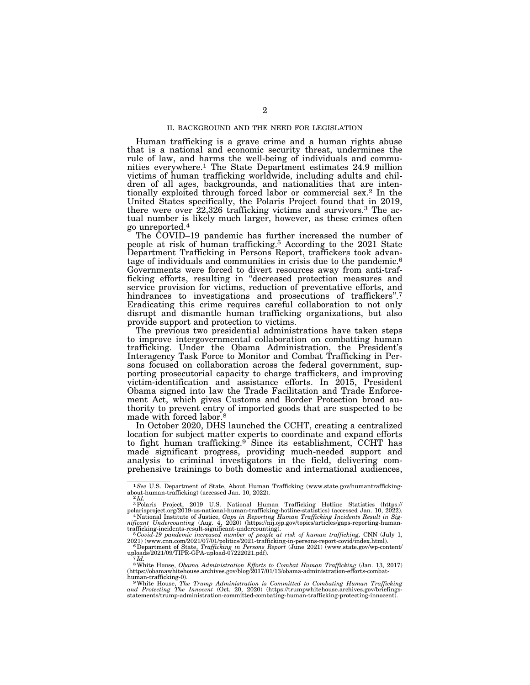#### II. BACKGROUND AND THE NEED FOR LEGISLATION

Human trafficking is a grave crime and a human rights abuse that is a national and economic security threat, undermines the rule of law, and harms the well-being of individuals and communities everywhere.1 The State Department estimates 24.9 million victims of human trafficking worldwide, including adults and children of all ages, backgrounds, and nationalities that are intentionally exploited through forced labor or commercial sex.2 In the United States specifically, the Polaris Project found that in 2019, there were over 22,326 trafficking victims and survivors.3 The actual number is likely much larger, however, as these crimes often go unreported.4

The COVID–19 pandemic has further increased the number of people at risk of human trafficking.5 According to the 2021 State Department Trafficking in Persons Report, traffickers took advantage of individuals and communities in crisis due to the pandemic.6 Governments were forced to divert resources away from anti-trafficking efforts, resulting in ''decreased protection measures and service provision for victims, reduction of preventative efforts, and hindrances to investigations and prosecutions of traffickers".7 Eradicating this crime requires careful collaboration to not only disrupt and dismantle human trafficking organizations, but also provide support and protection to victims.

The previous two presidential administrations have taken steps to improve intergovernmental collaboration on combatting human trafficking. Under the Obama Administration, the President's Interagency Task Force to Monitor and Combat Trafficking in Persons focused on collaboration across the federal government, supporting prosecutorial capacity to charge traffickers, and improving victim-identification and assistance efforts. In 2015, President Obama signed into law the Trade Facilitation and Trade Enforcement Act, which gives Customs and Border Protection broad authority to prevent entry of imported goods that are suspected to be made with forced labor.<sup>8</sup>

In October 2020, DHS launched the CCHT, creating a centralized location for subject matter experts to coordinate and expand efforts to fight human trafficking.9 Since its establishment, CCHT has made significant progress, providing much-needed support and analysis to criminal investigators in the field, delivering comprehensive trainings to both domestic and international audiences,

<sup>1</sup>*See* U.S. Department of State, About Human Trafficking (www.state.gov/humantraffickingabout-human-trafficking) (accessed Jan. 10, 2022). 2 *Id.* 

<sup>&</sup>lt;sup>3</sup>Polaris Project, 2019 U.S. National Human Trafficking Hotline Statistics (https:// polarisproject.org/2019-us-national-human-trafficking-hotline-statistics) (accessed Jan. 10, 2022).<br>4 National Institute of Justice, Gaps in Reporting Human Trafficking Incidents Result in Sig-<br>nificant Undercounting (Aug.

trafficking-incidents-result-significant-undercounting).<br>
<sup>5</sup> *Covid-19 pandemic increased number of people at risk of human trafficking*, CNN (July 1,<br>
2021) (www.cnn.com/2021/07/01/politics/2021-trafficking-in-persons-re

<sup>2021) (</sup>www.cnn.com/2021/07/01/politics/2021-trafficking-in-persons-report-covid/index.html). 6Department of State, *Trafficking in Persons Report* (June 2021) (www.state.gov/wp-content/ uploads/2021/09/TIPR-GPA-upload-07222021.pdf). 7 *Id.* 

<sup>8</sup>White House, *Obama Administration Efforts to Combat Human Trafficking* (Jan. 13, 2017) (https://obamawhitehouse.archives.gov/blog/2017/01/13/obama-administration-efforts-combat-

human-trafficking-0).<br><sup>9</sup> White House, *The Trump Administration is Committed to Combating Human Trafficking<br>and <i>Protecting The Innocent* (Oct. 20, 2020) (https://trumpwhitehouse.archives.gov/briefings-<br>statements/trump-a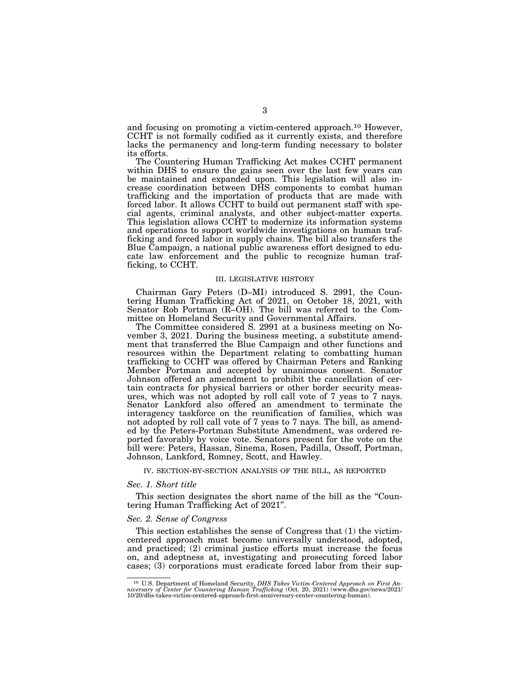and focusing on promoting a victim-centered approach.10 However, CCHT is not formally codified as it currently exists, and therefore lacks the permanency and long-term funding necessary to bolster its efforts.

The Countering Human Trafficking Act makes CCHT permanent within DHS to ensure the gains seen over the last few years can be maintained and expanded upon. This legislation will also increase coordination between DHS components to combat human trafficking and the importation of products that are made with forced labor. It allows CCHT to build out permanent staff with special agents, criminal analysts, and other subject-matter experts. This legislation allows CCHT to modernize its information systems and operations to support worldwide investigations on human trafficking and forced labor in supply chains. The bill also transfers the Blue Campaign, a national public awareness effort designed to educate law enforcement and the public to recognize human trafficking, to CCHT.

#### III. LEGISLATIVE HISTORY

Chairman Gary Peters (D–MI) introduced S. 2991, the Countering Human Trafficking Act of 2021, on October 18, 2021, with Senator Rob Portman (R–OH). The bill was referred to the Committee on Homeland Security and Governmental Affairs.

The Committee considered S. 2991 at a business meeting on November 3, 2021. During the business meeting, a substitute amendment that transferred the Blue Campaign and other functions and resources within the Department relating to combatting human trafficking to CCHT was offered by Chairman Peters and Ranking Member Portman and accepted by unanimous consent. Senator Johnson offered an amendment to prohibit the cancellation of certain contracts for physical barriers or other border security measures, which was not adopted by roll call vote of 7 yeas to 7 nays. Senator Lankford also offered an amendment to terminate the interagency taskforce on the reunification of families, which was not adopted by roll call vote of 7 yeas to 7 nays. The bill, as amended by the Peters-Portman Substitute Amendment, was ordered reported favorably by voice vote. Senators present for the vote on the bill were: Peters, Hassan, Sinema, Rosen, Padilla, Ossoff, Portman, Johnson, Lankford, Romney, Scott, and Hawley.

#### IV. SECTION-BY-SECTION ANALYSIS OF THE BILL, AS REPORTED

#### *Sec. 1. Short title*

This section designates the short name of the bill as the "Countering Human Trafficking Act of 2021''.

#### *Sec. 2. Sense of Congress*

This section establishes the sense of Congress that (1) the victimcentered approach must become universally understood, adopted, and practiced; (2) criminal justice efforts must increase the focus on, and adeptness at, investigating and prosecuting forced labor cases; (3) corporations must eradicate forced labor from their sup-

 $^{10}$  U.S. Department of Homeland Security, DHS Takes Victim-Centered Approach on First Anniversary of Center for Countering Human Trafficking (Oct. 20, 2021) (www.dhs.gov/news/2021/ 10/20/dhs-takes-victim-centered-appro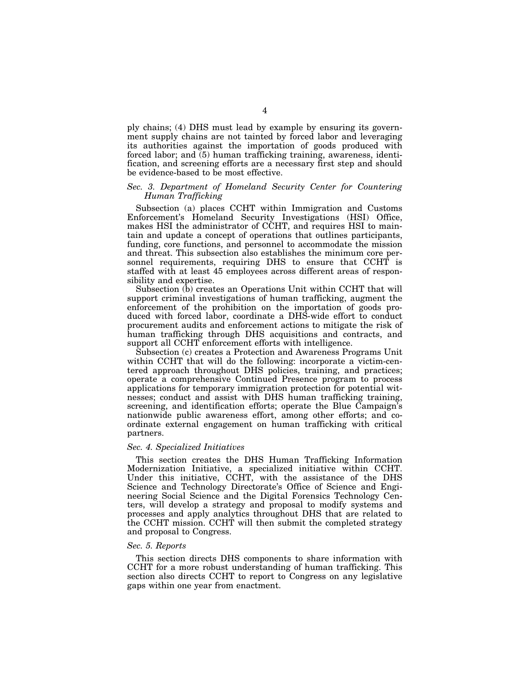ply chains; (4) DHS must lead by example by ensuring its government supply chains are not tainted by forced labor and leveraging its authorities against the importation of goods produced with forced labor; and (5) human trafficking training, awareness, identification, and screening efforts are a necessary first step and should be evidence-based to be most effective.

#### *Sec. 3. Department of Homeland Security Center for Countering Human Trafficking*

Subsection (a) places CCHT within Immigration and Customs Enforcement's Homeland Security Investigations (HSI) Office, makes HSI the administrator of CCHT, and requires HSI to maintain and update a concept of operations that outlines participants, funding, core functions, and personnel to accommodate the mission and threat. This subsection also establishes the minimum core personnel requirements, requiring DHS to ensure that CCHT is staffed with at least 45 employees across different areas of responsibility and expertise.

Subsection (b) creates an Operations Unit within CCHT that will support criminal investigations of human trafficking, augment the enforcement of the prohibition on the importation of goods produced with forced labor, coordinate a DHS-wide effort to conduct procurement audits and enforcement actions to mitigate the risk of human trafficking through DHS acquisitions and contracts, and support all CCHT enforcement efforts with intelligence.

Subsection (c) creates a Protection and Awareness Programs Unit within CCHT that will do the following: incorporate a victim-centered approach throughout DHS policies, training, and practices; operate a comprehensive Continued Presence program to process applications for temporary immigration protection for potential witnesses; conduct and assist with DHS human trafficking training, screening, and identification efforts; operate the Blue Campaign's nationwide public awareness effort, among other efforts; and coordinate external engagement on human trafficking with critical partners.

# *Sec. 4. Specialized Initiatives*

This section creates the DHS Human Trafficking Information Modernization Initiative, a specialized initiative within CCHT. Under this initiative, CCHT, with the assistance of the DHS Science and Technology Directorate's Office of Science and Engineering Social Science and the Digital Forensics Technology Centers, will develop a strategy and proposal to modify systems and processes and apply analytics throughout DHS that are related to the CCHT mission. CCHT will then submit the completed strategy and proposal to Congress.

#### *Sec. 5. Reports*

This section directs DHS components to share information with CCHT for a more robust understanding of human trafficking. This section also directs CCHT to report to Congress on any legislative gaps within one year from enactment.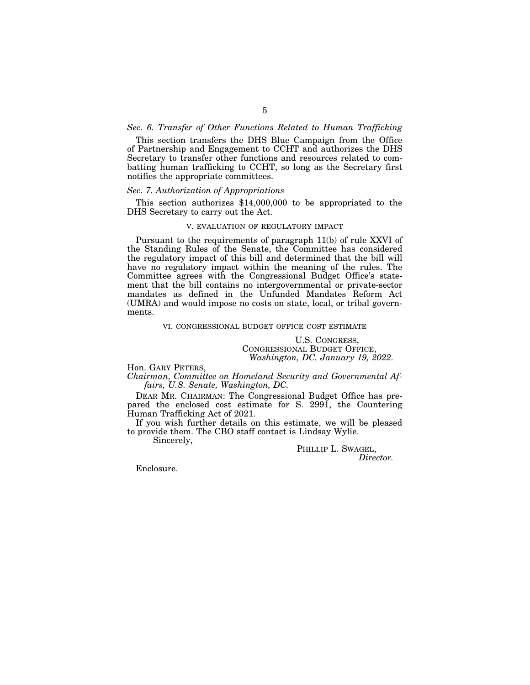# *Sec. 6. Transfer of Other Functions Related to Human Trafficking*

This section transfers the DHS Blue Campaign from the Office of Partnership and Engagement to CCHT and authorizes the DHS Secretary to transfer other functions and resources related to combatting human trafficking to CCHT, so long as the Secretary first notifies the appropriate committees.

#### *Sec. 7. Authorization of Appropriations*

This section authorizes \$14,000,000 to be appropriated to the DHS Secretary to carry out the Act.

#### V. EVALUATION OF REGULATORY IMPACT

Pursuant to the requirements of paragraph 11(b) of rule XXVI of the Standing Rules of the Senate, the Committee has considered the regulatory impact of this bill and determined that the bill will have no regulatory impact within the meaning of the rules. The Committee agrees with the Congressional Budget Office's statement that the bill contains no intergovernmental or private-sector mandates as defined in the Unfunded Mandates Reform Act (UMRA) and would impose no costs on state, local, or tribal governments.

#### VI. CONGRESSIONAL BUDGET OFFICE COST ESTIMATE

U.S. CONGRESS, CONGRESSIONAL BUDGET OFFICE, *Washington, DC, January 19, 2022.* 

Hon. GARY PETERS,

*Chairman, Committee on Homeland Security and Governmental Affairs, U.S. Senate, Washington, DC.* 

DEAR MR. CHAIRMAN: The Congressional Budget Office has prepared the enclosed cost estimate for S. 2991, the Countering Human Trafficking Act of 2021.

If you wish further details on this estimate, we will be pleased to provide them. The CBO staff contact is Lindsay Wylie.

Sincerely,

PHILLIP L. SWAGEL, *Director.* 

Enclosure.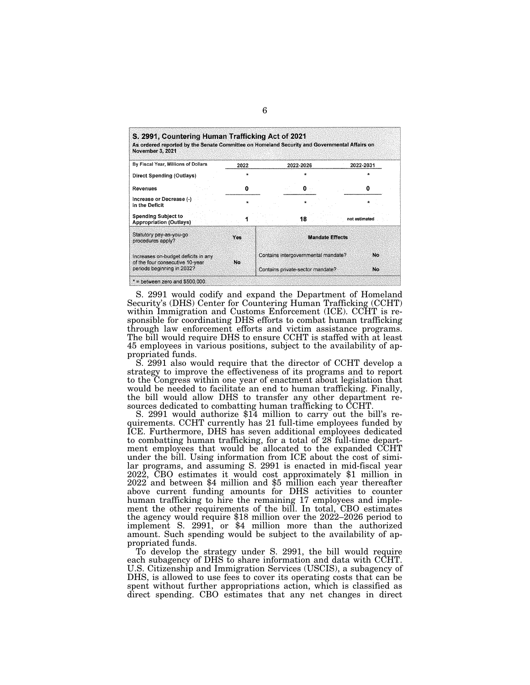| S. 2991, Countering Human Trafficking Act of 2021<br>As ordered reported by the Senate Committee on Homeland Security and Governmental Affairs on<br><b>November 3, 2021</b> |         |                                     |               |  |
|------------------------------------------------------------------------------------------------------------------------------------------------------------------------------|---------|-------------------------------------|---------------|--|
| By Fiscal Year, Millions of Dollars                                                                                                                                          | 2022    | 2022-2026                           | 2022-2031     |  |
| Direct Spending (Outlays)                                                                                                                                                    | $\star$ |                                     |               |  |
| <b>Revenues</b>                                                                                                                                                              | O       | o                                   |               |  |
| Increase or Decrease (-)<br>in the Deficit                                                                                                                                   |         |                                     |               |  |
| <b>Spending Subject to</b><br><b>Appropriation (Outlays)</b>                                                                                                                 |         | 18                                  | not estimated |  |
| Statutory pay-as-you-go<br>procedures apply?                                                                                                                                 | Yes     | <b>Mandate Effects</b>              |               |  |
| Increases on-budget deficits in any<br>of the four consecutive 10-year                                                                                                       | No      | Contains intergovernmental mandate? | No.           |  |
| periods beginning in 2032?                                                                                                                                                   |         | Contains private-sector mandate?    | No            |  |
| $*$ = between zero and \$500,000.                                                                                                                                            |         |                                     |               |  |

S. 2991 would codify and expand the Department of Homeland Security's (DHS) Center for Countering Human Trafficking (CCHT) within Immigration and Customs Enforcement (ICE). CCHT is responsible for coordinating DHS efforts to combat human trafficking through law enforcement efforts and victim assistance programs. The bill would require DHS to ensure CCHT is staffed with at least 45 employees in various positions, subject to the availability of appropriated funds.

S. 2991 also would require that the director of CCHT develop a strategy to improve the effectiveness of its programs and to report to the Congress within one year of enactment about legislation that would be needed to facilitate an end to human trafficking. Finally, the bill would allow DHS to transfer any other department resources dedicated to combatting human trafficking to CCHT.

S. 2991 would authorize  $$14$  million to carry out the bill's requirements. CCHT currently has 21 full-time employees funded by ICE. Furthermore, DHS has seven additional employees dedicated to combatting human trafficking, for a total of 28 full-time department employees that would be allocated to the expanded CCHT under the bill. Using information from ICE about the cost of similar programs, and assuming S. 2991 is enacted in mid-fiscal year 2022, CBO estimates it would cost approximately \$1 million in 2022 and between \$4 million and \$5 million each year thereafter above current funding amounts for DHS activities to counter human trafficking to hire the remaining 17 employees and implement the other requirements of the bill. In total, CBO estimates the agency would require \$18 million over the 2022–2026 period to implement S. 2991, or \$4 million more than the authorized amount. Such spending would be subject to the availability of appropriated funds.

To develop the strategy under S. 2991, the bill would require each subagency of DHS to share information and data with CCHT. U.S. Citizenship and Immigration Services (USCIS), a subagency of DHS, is allowed to use fees to cover its operating costs that can be spent without further appropriations action, which is classified as direct spending. CBO estimates that any net changes in direct